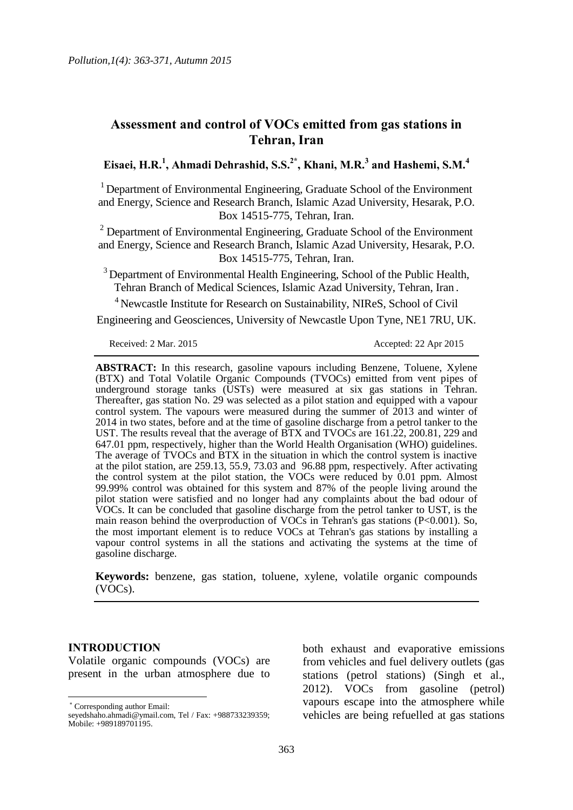# **Assessment and control of VOCs emitted from gas stations in Tehran, Iran**

**Eisaei, H.R.<sup>1</sup> , Ahmadi Dehrashid, S.S.2\* , Khani, M.R.<sup>3</sup> and Hashemi, S.M.<sup>4</sup>**

<sup>1</sup> Department of Environmental Engineering, Graduate School of the Environment and Energy, Science and Research Branch, Islamic Azad University, Hesarak, P.O. Box 14515-775, Tehran, Iran.

 $2$  Department of Environmental Engineering, Graduate School of the Environment and Energy, Science and Research Branch, Islamic Azad University, Hesarak, P.O. Box 14515-775, Tehran, Iran.

 $3$  Department of Environmental Health Engineering, School of the Public Health, Tehran Branch of Medical Sciences, Islamic Azad University, Tehran, Iran .

<sup>4</sup> Newcastle Institute for Research on Sustainability, NIReS, School of Civil

Engineering and Geosciences, University of Newcastle Upon Tyne, NE1 7RU, UK.

Received: 2 Mar. 2015 **Accepted: 22 Apr 2015** 

**ABSTRACT:** In this research, gasoline vapours including Benzene, Toluene, Xylene (BTX) and Total Volatile Organic Compounds (TVOCs) emitted from vent pipes of underground storage tanks (USTs) were measured at six gas stations in Tehran. Thereafter, gas station No. 29 was selected as a pilot station and equipped with a vapour control system. The vapours were measured during the summer of 2013 and winter of 2014 in two states, before and at the time of gasoline discharge from a petrol tanker to the UST. The results reveal that the average of BTX and TVOCs are 161.22, 200.81, 229 and 647.01 ppm, respectively, higher than the World Health Organisation (WHO) guidelines. The average of TVOCs and BTX in the situation in which the control system is inactive at the pilot station, are 259.13, 55.9, 73.03 and 96.88 ppm, respectively. After activating the control system at the pilot station, the VOCs were reduced by 0.01 ppm. Almost 99.99% control was obtained for this system and 87% of the people living around the pilot station were satisfied and no longer had any complaints about the bad odour of VOCs. It can be concluded that gasoline discharge from the petrol tanker to UST, is the main reason behind the overproduction of VOCs in Tehran's gas stations (P<0.001). So, the most important element is to reduce VOCs at Tehran's gas stations by installing a vapour control systems in all the stations and activating the systems at the time of gasoline discharge.

**Keywords:** benzene, gas station, toluene, xylene, volatile organic compounds (VOCs).

## **INTRODUCTION**

 $\overline{a}$ 

Volatile organic compounds (VOCs) are present in the urban atmosphere due to

Corresponding author Email:

both exhaust and evaporative emissions from vehicles and fuel delivery outlets (gas stations (petrol stations) (Singh et al., 2012). VOCs from gasoline (petrol) vapours escape into the atmosphere while vehicles are being refuelled at gas stations

seyedshaho.ahmadi@ymail.com, Tel / Fax: +988733239359; Mobile: +989189701195.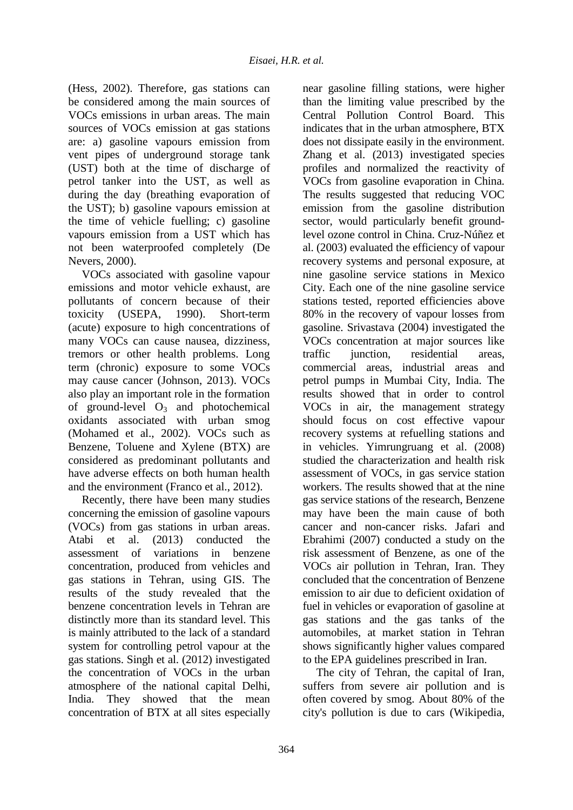(Hess, 2002). Therefore, gas stations can be considered among the main sources of VOCs emissions in urban areas. The main sources of VOCs emission at gas stations are: a) gasoline vapours emission from vent pipes of underground storage tank (UST) both at the time of discharge of petrol tanker into the UST, as well as during the day (breathing evaporation of the UST); b) gasoline vapours emission at the time of vehicle fuelling; c) gasoline vapours emission from a UST which has not been waterproofed completely (De Nevers, 2000).

VOCs associated with gasoline vapour emissions and motor vehicle exhaust, are pollutants of concern because of their toxicity (USEPA, 1990). Short-term (acute) exposure to high concentrations of many VOCs can cause nausea, dizziness, tremors or other health problems. Long term (chronic) exposure to some VOCs may cause cancer (Johnson, 2013). VOCs also play an important role in the formation of ground-level  $O_3$  and photochemical oxidants associated with urban smog (Mohamed et al., 2002). VOCs such as Benzene, Toluene and Xylene (BTX) are considered as predominant pollutants and have adverse effects on both human health and the environment (Franco et al., 2012).

Recently, there have been many studies concerning the emission of gasoline vapours (VOCs) from gas stations in urban areas. Atabi et al. (2013) conducted the assessment of variations in benzene concentration, produced from vehicles and gas stations in Tehran, using GIS. The results of the study revealed that the benzene concentration levels in Tehran are distinctly more than its standard level. This is mainly attributed to the lack of a standard system for controlling petrol vapour at the gas stations. Singh et al. (2012) investigated the concentration of VOCs in the urban atmosphere of the national capital Delhi, India. They showed that the mean concentration of BTX at all sites especially

near gasoline filling stations, were higher than the limiting value prescribed by the Central Pollution Control Board. This indicates that in the urban atmosphere, BTX does not dissipate easily in the environment. Zhang et al. (2013) investigated species profiles and normalized the reactivity of VOCs from gasoline evaporation in China. The results suggested that reducing VOC emission from the gasoline distribution sector, would particularly benefit groundlevel ozone control in China. Cruz-Núñez et al. (2003) evaluated the efficiency of vapour recovery systems and personal exposure, at nine gasoline service stations in Mexico City. Each one of the nine gasoline service stations tested, reported efficiencies above 80% in the recovery of vapour losses from gasoline. Srivastava (2004) investigated the VOCs concentration at major sources like traffic junction, residential areas, commercial areas, industrial areas and petrol pumps in Mumbai City, India. The results showed that in order to control VOCs in air, the management strategy should focus on cost effective vapour recovery systems at refuelling stations and in vehicles. Yimrungruang et al. (2008) studied the characterization and health risk assessment of VOCs, in gas service station workers. The results showed that at the nine gas service stations of the research, Benzene may have been the main cause of both cancer and non-cancer risks. Jafari and Ebrahimi (2007) conducted a study on the risk assessment of Benzene, as one of the VOCs air pollution in Tehran, Iran. They concluded that the concentration of Benzene emission to air due to deficient oxidation of fuel in vehicles or evaporation of gasoline at gas stations and the gas tanks of the automobiles, at market station in Tehran shows significantly higher values compared to the EPA guidelines prescribed in Iran.

The city of Tehran, the capital of Iran, suffers from severe air pollution and is often covered by smog. About 80% of the city's pollution is due to cars (Wikipedia,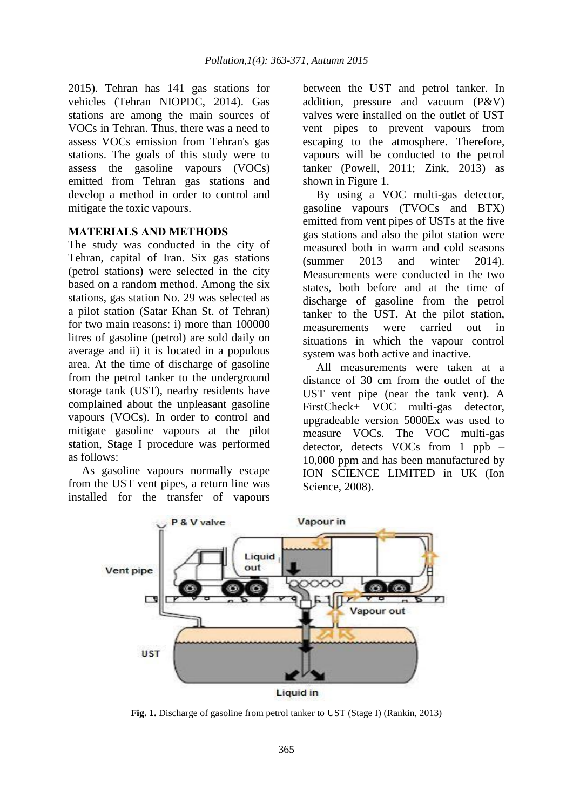2015). Tehran has 141 gas stations for vehicles (Tehran NIOPDC, 2014). Gas stations are among the main sources of VOCs in Tehran. Thus, there was a need to assess VOCs emission from Tehran's gas stations. The goals of this study were to assess the gasoline vapours (VOCs) emitted from Tehran gas stations and develop a method in order to control and mitigate the toxic vapours.

# **MATERIALS AND METHODS**

The study was conducted in the city of Tehran, capital of Iran. Six gas stations (petrol stations) were selected in the city based on a random method. Among the six stations, gas station No. 29 was selected as a pilot station (Satar Khan St. of Tehran) for two main reasons: i) more than 100000 litres of gasoline (petrol) are sold daily on average and ii) it is located in a populous area. At the time of discharge of gasoline from the petrol tanker to the underground storage tank (UST), nearby residents have complained about the unpleasant gasoline vapours (VOCs). In order to control and mitigate gasoline vapours at the pilot station, Stage I procedure was performed as follows:

As gasoline vapours normally escape from the UST vent pipes, a return line was installed for the transfer of vapours between the UST and petrol tanker. In addition, pressure and vacuum (P&V) valves were installed on the outlet of UST vent pipes to prevent vapours from escaping to the atmosphere. Therefore, vapours will be conducted to the petrol tanker (Powell, 2011; Zink, 2013) as shown in Figure 1.

By using a VOC multi-gas detector, gasoline vapours (TVOCs and BTX) emitted from vent pipes of USTs at the five gas stations and also the pilot station were measured both in warm and cold seasons (summer 2013 and winter 2014). Measurements were conducted in the two states, both before and at the time of discharge of gasoline from the petrol tanker to the UST. At the pilot station, measurements were carried out in situations in which the vapour control system was both active and inactive.

All measurements were taken at a distance of 30 cm from the outlet of the UST vent pipe (near the tank vent). A FirstCheck+ VOC multi-gas detector, upgradeable version 5000Ex was used to measure VOCs. The VOC multi-gas detector, detects VOCs from 1 ppb – 10,000 ppm and has been manufactured by ION SCIENCE LIMITED in UK (Ion Science, 2008).



**Fig. 1.** Discharge of gasoline from petrol tanker to UST (Stage I) (Rankin, 2013)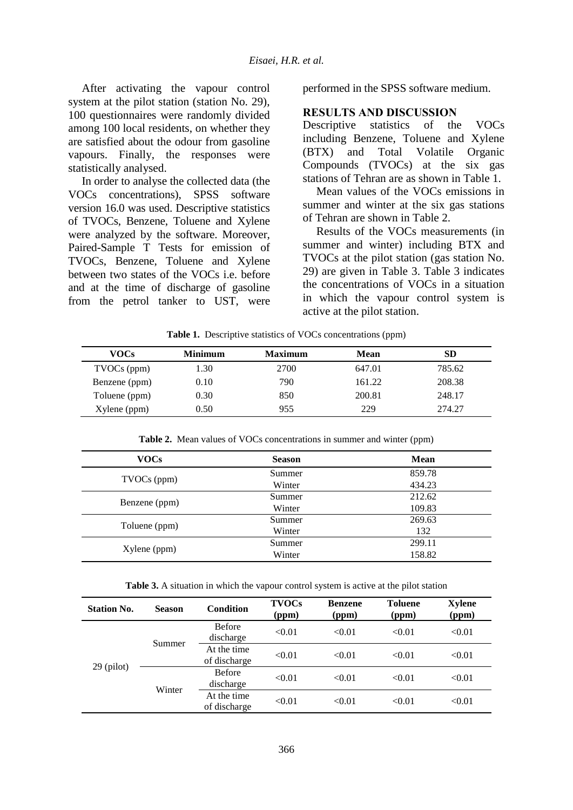After activating the vapour control system at the pilot station (station No. 29), 100 questionnaires were randomly divided among 100 local residents, on whether they are satisfied about the odour from gasoline vapours. Finally, the responses were statistically analysed.

In order to analyse the collected data (the VOCs concentrations), SPSS software version 16.0 was used. Descriptive statistics of TVOCs, Benzene, Toluene and Xylene were analyzed by the software. Moreover, Paired-Sample T Tests for emission of TVOCs, Benzene, Toluene and Xylene between two states of the VOCs i.e. before and at the time of discharge of gasoline from the petrol tanker to UST, were performed in the SPSS software medium.

#### **RESULTS AND DISCUSSION**

Descriptive statistics of the VOCs including Benzene, Toluene and Xylene (BTX) and Total Volatile Organic Compounds (TVOCs) at the six gas stations of Tehran are as shown in Table 1.

Mean values of the VOCs emissions in summer and winter at the six gas stations of Tehran are shown in Table 2.

Results of the VOCs measurements (in summer and winter) including BTX and TVOCs at the pilot station (gas station No. 29) are given in Table 3. Table 3 indicates the concentrations of VOCs in a situation in which the vapour control system is active at the pilot station.

**Table 1.** Descriptive statistics of VOCs concentrations (ppm)

| VOCs          | <b>Minimum</b> | <b>Maximum</b> | Mean   | SD     |
|---------------|----------------|----------------|--------|--------|
| TVOCs (ppm)   | 1.30           | 2700           | 647.01 | 785.62 |
| Benzene (ppm) | 0.10           | 790            | 161.22 | 208.38 |
| Toluene (ppm) | 0.30           | 850            | 200.81 | 248.17 |
| Xylene (ppm)  | 0.50           | 955            | 229    | 274.27 |

**Table 2.** Mean values of VOCs concentrations in summer and winter (ppm)

| <b>VOCs</b>   | <b>Season</b> | <b>Mean</b> |
|---------------|---------------|-------------|
|               | Summer        | 859.78      |
| TVOCs (ppm)   | Winter        | 434.23      |
|               | Summer        | 212.62      |
| Benzene (ppm) | Winter        | 109.83      |
|               | Summer        | 269.63      |
| Toluene (ppm) | Winter        | 132         |
|               | Summer        | 299.11      |
| Xylene (ppm)  | Winter        | 158.82      |

**Table 3.** A situation in which the vapour control system is active at the pilot station

| <b>Station No.</b> | <b>Season</b> | <b>Condition</b>            | <b>TVOCs</b><br>(ppm) | <b>Benzene</b><br>(ppm) | <b>Toluene</b><br>(ppm) | <b>Xylene</b><br>(ppm) |
|--------------------|---------------|-----------------------------|-----------------------|-------------------------|-------------------------|------------------------|
| $29$ (pilot)       | Summer        | <b>Before</b><br>discharge  | < 0.01                | < 0.01                  | < 0.01                  | < 0.01                 |
|                    |               | At the time<br>of discharge | < 0.01                | < 0.01                  | < 0.01                  | < 0.01                 |
|                    | Winter        | <b>Before</b><br>discharge  | < 0.01                | < 0.01                  | < 0.01                  | < 0.01                 |
|                    |               | At the time<br>of discharge | < 0.01                | < 0.01                  | < 0.01                  | < 0.01                 |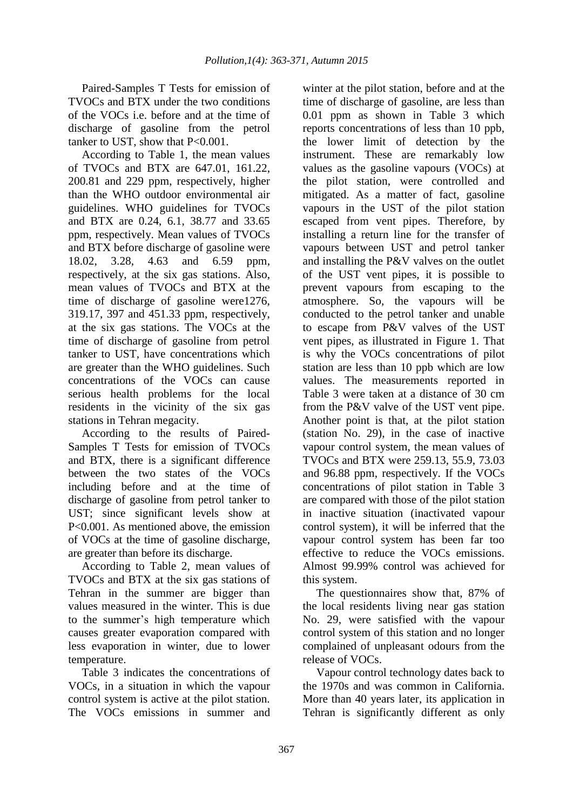Paired-Samples T Tests for emission of TVOCs and BTX under the two conditions of the VOCs i.e. before and at the time of discharge of gasoline from the petrol tanker to UST, show that P<0.001.

According to Table 1, the mean values of TVOCs and BTX are 647.01, 161.22, 200.81 and 229 ppm, respectively, higher than the WHO outdoor environmental air guidelines. WHO guidelines for TVOCs and BTX are 0.24, 6.1, 38.77 and 33.65 ppm, respectively. Mean values of TVOCs and BTX before discharge of gasoline were 18.02, 3.28, 4.63 and 6.59 ppm, respectively, at the six gas stations. Also, mean values of TVOCs and BTX at the time of discharge of gasoline were1276, 319.17, 397 and 451.33 ppm, respectively, at the six gas stations. The VOCs at the time of discharge of gasoline from petrol tanker to UST, have concentrations which are greater than the WHO guidelines. Such concentrations of the VOCs can cause serious health problems for the local residents in the vicinity of the six gas stations in Tehran megacity.

According to the results of Paired-Samples T Tests for emission of TVOCs and BTX, there is a significant difference between the two states of the VOCs including before and at the time of discharge of gasoline from petrol tanker to UST; since significant levels show at P<0.001. As mentioned above, the emission of VOCs at the time of gasoline discharge, are greater than before its discharge.

According to Table 2, mean values of TVOCs and BTX at the six gas stations of Tehran in the summer are bigger than values measured in the winter. This is due to the summer's high temperature which causes greater evaporation compared with less evaporation in winter, due to lower temperature.

Table 3 indicates the concentrations of VOCs, in a situation in which the vapour control system is active at the pilot station. The VOCs emissions in summer and

winter at the pilot station, before and at the time of discharge of gasoline, are less than 0.01 ppm as shown in Table 3 which reports concentrations of less than 10 ppb, the lower limit of detection by the instrument. These are remarkably low values as the gasoline vapours (VOCs) at the pilot station, were controlled and mitigated. As a matter of fact, gasoline vapours in the UST of the pilot station escaped from vent pipes. Therefore, by installing a return line for the transfer of vapours between UST and petrol tanker and installing the P&V valves on the outlet of the UST vent pipes, it is possible to prevent vapours from escaping to the atmosphere. So, the vapours will be conducted to the petrol tanker and unable to escape from P&V valves of the UST vent pipes, as illustrated in Figure 1. That is why the VOCs concentrations of pilot station are less than 10 ppb which are low values. The measurements reported in Table 3 were taken at a distance of 30 cm from the P&V valve of the UST vent pipe. Another point is that, at the pilot station (station No. 29), in the case of inactive vapour control system, the mean values of TVOCs and BTX were 259.13, 55.9, 73.03 and 96.88 ppm, respectively. If the VOCs concentrations of pilot station in Table 3 are compared with those of the pilot station in inactive situation (inactivated vapour control system), it will be inferred that the vapour control system has been far too effective to reduce the VOCs emissions. Almost 99.99% control was achieved for this system.

The questionnaires show that, 87% of the local residents living near gas station No. 29, were satisfied with the vapour control system of this station and no longer complained of unpleasant odours from the release of VOCs.

Vapour control technology dates back to the 1970s and was common in California. More than 40 years later, its application in Tehran is significantly different as only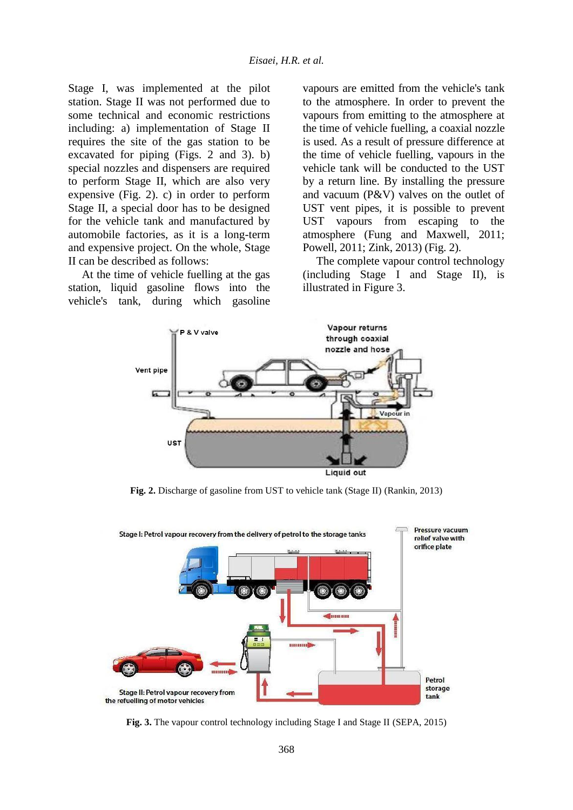Stage I, was implemented at the pilot station. Stage II was not performed due to some technical and economic restrictions including: a) implementation of Stage II requires the site of the gas station to be excavated for piping (Figs. 2 and 3). b) special nozzles and dispensers are required to perform Stage II, which are also very expensive (Fig. 2). c) in order to perform Stage II, a special door has to be designed for the vehicle tank and manufactured by automobile factories, as it is a long-term and expensive project. On the whole, Stage II can be described as follows:

At the time of vehicle fuelling at the gas station, liquid gasoline flows into the vehicle's tank, during which gasoline

vapours are emitted from the vehicle's tank to the atmosphere. In order to prevent the vapours from emitting to the atmosphere at the time of vehicle fuelling, a coaxial nozzle is used. As a result of pressure difference at the time of vehicle fuelling, vapours in the vehicle tank will be conducted to the UST by a return line. By installing the pressure and vacuum (P&V) valves on the outlet of UST vent pipes, it is possible to prevent UST vapours from escaping to the atmosphere (Fung and Maxwell, 2011; Powell, 2011; Zink, 2013) (Fig. 2).

The complete vapour control technology (including Stage I and Stage II), is illustrated in Figure 3.



**Fig. 2.** Discharge of gasoline from UST to vehicle tank (Stage II) (Rankin, 2013)



**Fig. 3.** The vapour control technology including Stage I and Stage II (SEPA, 2015)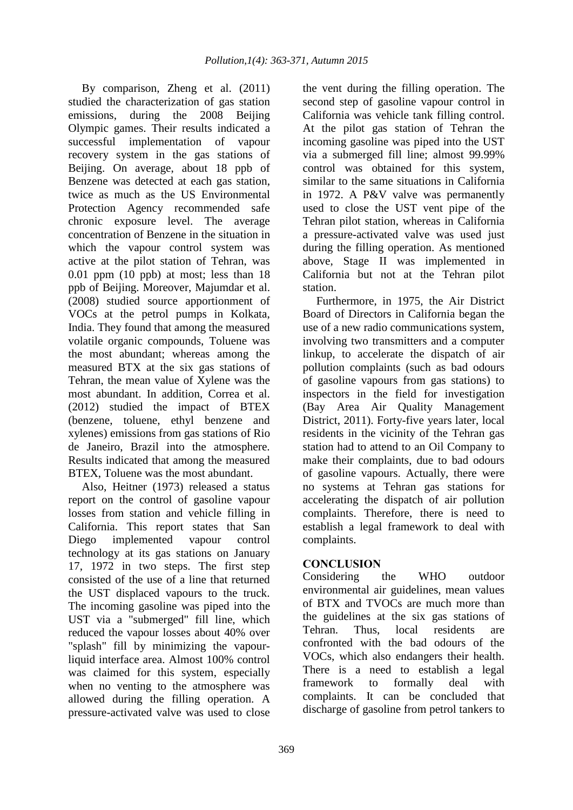By comparison, Zheng et al. (2011) studied the characterization of gas station emissions, during the 2008 Beijing Olympic games. Their results indicated a successful implementation of vapour recovery system in the gas stations of Beijing. On average, about 18 ppb of Benzene was detected at each gas station, twice as much as the US Environmental Protection Agency recommended safe chronic exposure level. The average concentration of Benzene in the situation in which the vapour control system was active at the pilot station of Tehran, was 0.01 ppm (10 ppb) at most; less than 18 ppb of Beijing. Moreover, Majumdar et al. (2008) studied source apportionment of VOCs at the petrol pumps in Kolkata, India. They found that among the measured volatile organic compounds, Toluene was the most abundant; whereas among the measured BTX at the six gas stations of Tehran, the mean value of Xylene was the most abundant. In addition, Correa et al. (2012) studied the impact of BTEX (benzene, toluene, ethyl benzene and xylenes) emissions from gas stations of Rio de Janeiro, Brazil into the atmosphere. Results indicated that among the measured BTEX, Toluene was the most abundant.

Also, Heitner (1973) released a status report on the control of gasoline vapour losses from station and vehicle filling in California. This report states that San Diego implemented vapour control technology at its gas stations on January 17, 1972 in two steps. The first step consisted of the use of a line that returned the UST displaced vapours to the truck. The incoming gasoline was piped into the UST via a "submerged" fill line, which reduced the vapour losses about 40% over "splash" fill by minimizing the vapourliquid interface area. Almost 100% control was claimed for this system, especially when no venting to the atmosphere was allowed during the filling operation. A pressure-activated valve was used to close the vent during the filling operation. The second step of gasoline vapour control in California was vehicle tank filling control. At the pilot gas station of Tehran the incoming gasoline was piped into the UST via a submerged fill line; almost 99.99% control was obtained for this system, similar to the same situations in California in 1972. A P&V valve was permanently used to close the UST vent pipe of the Tehran pilot station, whereas in California a pressure-activated valve was used just during the filling operation. As mentioned above, Stage II was implemented in California but not at the Tehran pilot station.

Furthermore, in 1975, the Air District Board of Directors in California began the use of a new radio communications system, involving two transmitters and a computer linkup, to accelerate the dispatch of air pollution complaints (such as bad odours of gasoline vapours from gas stations) to inspectors in the field for investigation (Bay Area Air Quality Management District, 2011). Forty-five years later, local residents in the vicinity of the Tehran gas station had to attend to an Oil Company to make their complaints, due to bad odours of gasoline vapours. Actually, there were no systems at Tehran gas stations for accelerating the dispatch of air pollution complaints. Therefore, there is need to establish a legal framework to deal with complaints.

# **CONCLUSION**

Considering the WHO outdoor environmental air guidelines, mean values of BTX and TVOCs are much more than the guidelines at the six gas stations of Tehran. Thus, local residents are confronted with the bad odours of the VOCs, which also endangers their health. There is a need to establish a legal framework to formally deal with complaints. It can be concluded that discharge of gasoline from petrol tankers to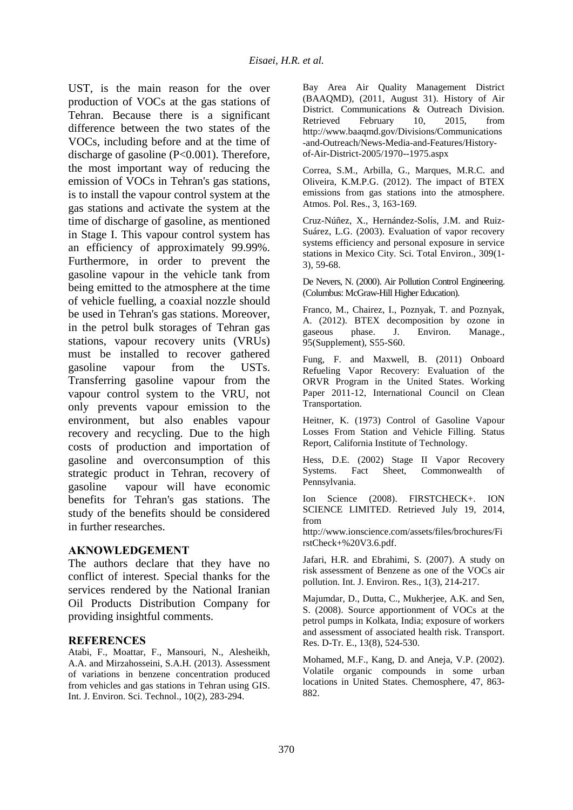UST, is the main reason for the over production of VOCs at the gas stations of Tehran. Because there is a significant difference between the two states of the VOCs, including before and at the time of discharge of gasoline (P<0.001). Therefore, the most important way of reducing the emission of VOCs in Tehran's gas stations, is to install the vapour control system at the gas stations and activate the system at the time of discharge of gasoline, as mentioned in Stage I. This vapour control system has an efficiency of approximately 99.99%. Furthermore, in order to prevent the gasoline vapour in the vehicle tank from being emitted to the atmosphere at the time of vehicle fuelling, a coaxial nozzle should be used in Tehran's gas stations. Moreover, in the petrol bulk storages of Tehran gas stations, vapour recovery units (VRUs) must be installed to recover gathered gasoline vapour from the USTs. Transferring gasoline vapour from the vapour control system to the VRU, not only prevents vapour emission to the environment, but also enables vapour recovery and recycling. Due to the high costs of production and importation of gasoline and overconsumption of this strategic product in Tehran, recovery of gasoline vapour will have economic benefits for Tehran's gas stations. The study of the benefits should be considered in further researches.

## **AKNOWLEDGEMENT**

The authors declare that they have no conflict of interest. Special thanks for the services rendered by the National Iranian Oil Products Distribution Company for providing insightful comments.

## **REFERENCES**

Atabi, F., Moattar, F., Mansouri, N., Alesheikh, A.A. and Mirzahosseini, S.A.H. (2013). Assessment of variations in benzene concentration produced from vehicles and gas stations in Tehran using GIS. Int. J. Environ. Sci. Technol., 10(2), 283-294.

Bay Area Air Quality Management District (BAAQMD), (2011, August 31). History of Air District. Communications & Outreach Division. Retrieved February 10, 2015, from http://www.baaqmd.gov/Divisions/Communications -and-Outreach/News-Media-and-Features/Historyof-Air-District-2005/1970--1975.aspx

Correa, S.M., Arbilla, G., Marques, M.R.C. and Oliveira, K.M.P.G. (2012). The impact of BTEX emissions from gas stations into the atmosphere. Atmos. Pol. Res., 3, 163-169.

Cruz-Núñez, X., Hernández-Solís, J.M. and Ruiz-Suárez, L.G. (2003). Evaluation of vapor recovery systems efficiency and personal exposure in service stations in Mexico City. Sci. Total Environ., 309(1- 3), 59-68.

De Nevers, N. (2000). Air Pollution Control Engineering. (Columbus: McGraw-Hill Higher Education).

Franco, M., Chairez, I., Poznyak, T. and Poznyak, A. (2012). BTEX decomposition by ozone in gaseous phase. J. Environ. Manage., 95(Supplement), S55-S60.

Fung, F. and Maxwell, B. (2011) Onboard Refueling Vapor Recovery: Evaluation of the ORVR Program in the United States. Working Paper 2011-12, International Council on Clean Transportation.

Heitner, K. (1973) Control of Gasoline Vapour Losses From Station and Vehicle Filling. Status Report, California Institute of Technology.

Hess, D.E. (2002) Stage II Vapor Recovery Systems. Fact Sheet, Commonwealth of Pennsylvania.

Ion Science (2008). FIRSTCHECK+. ION SCIENCE LIMITED. Retrieved July 19, 2014, from

http://www.ionscience.com/assets/files/brochures/Fi rstCheck+%20V3.6.pdf.

Jafari, H.R. and Ebrahimi, S. (2007). A study on risk assessment of Benzene as one of the VOCs air pollution. Int. J. Environ. Res., 1(3), 214-217.

Majumdar, D., Dutta, C., Mukherjee, A.K. and Sen, S. (2008). Source apportionment of VOCs at the petrol pumps in Kolkata, India; exposure of workers and assessment of associated health risk. Transport. Res. D-Tr. E., 13(8), 524-530.

Mohamed, M.F., Kang, D. and Aneja, V.P. (2002). Volatile organic compounds in some urban locations in United States. Chemosphere, 47, 863- 882.